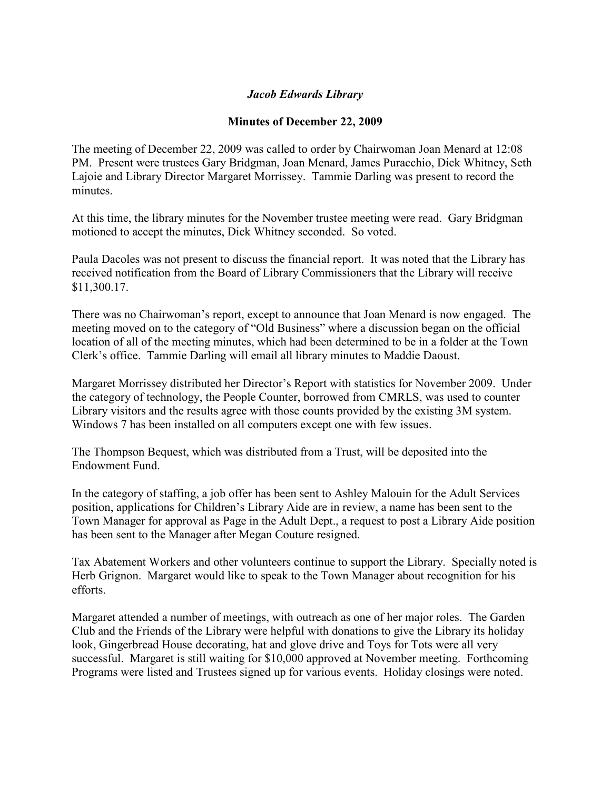## *Jacob Edwards Library*

## **Minutes of December 22, 2009**

The meeting of December 22, 2009 was called to order by Chairwoman Joan Menard at 12:08 PM. Present were trustees Gary Bridgman, Joan Menard, James Puracchio, Dick Whitney, Seth Lajoie and Library Director Margaret Morrissey. Tammie Darling was present to record the minutes.

At this time, the library minutes for the November trustee meeting were read. Gary Bridgman motioned to accept the minutes, Dick Whitney seconded. So voted.

Paula Dacoles was not present to discuss the financial report. It was noted that the Library has received notification from the Board of Library Commissioners that the Library will receive \$11,300.17.

There was no Chairwoman's report, except to announce that Joan Menard is now engaged. The meeting moved on to the category of "Old Business" where a discussion began on the official location of all of the meeting minutes, which had been determined to be in a folder at the Town Clerk's office. Tammie Darling will email all library minutes to Maddie Daoust.

Margaret Morrissey distributed her Director's Report with statistics for November 2009. Under the category of technology, the People Counter, borrowed from CMRLS, was used to counter Library visitors and the results agree with those counts provided by the existing 3M system. Windows 7 has been installed on all computers except one with few issues.

The Thompson Bequest, which was distributed from a Trust, will be deposited into the Endowment Fund.

In the category of staffing, a job offer has been sent to Ashley Malouin for the Adult Services position, applications for Children's Library Aide are in review, a name has been sent to the Town Manager for approval as Page in the Adult Dept., a request to post a Library Aide position has been sent to the Manager after Megan Couture resigned.

Tax Abatement Workers and other volunteers continue to support the Library. Specially noted is Herb Grignon. Margaret would like to speak to the Town Manager about recognition for his efforts.

Margaret attended a number of meetings, with outreach as one of her major roles. The Garden Club and the Friends of the Library were helpful with donations to give the Library its holiday look, Gingerbread House decorating, hat and glove drive and Toys for Tots were all very successful. Margaret is still waiting for \$10,000 approved at November meeting. Forthcoming Programs were listed and Trustees signed up for various events. Holiday closings were noted.